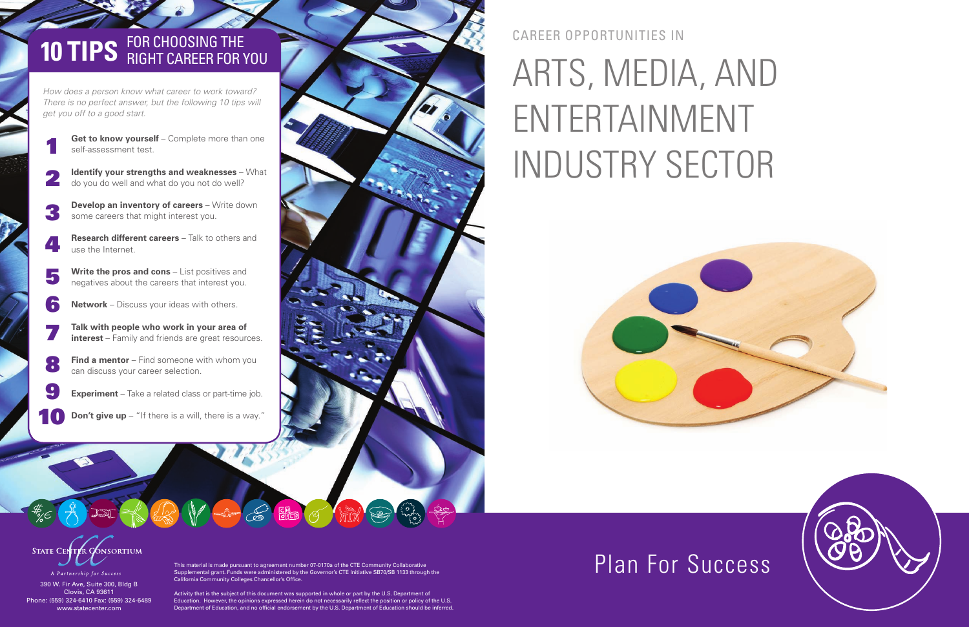This material is made pursuant to agreement number 07-0170a of the CTE Community Collaborative Supplemental grant. Funds were administered by the Governor's CTE Initiative SB70/SB 1133 through the California Community Colleges Chancellor's Office.

BU - C EL O FR

Activity that is the subject of this document was supported in whole or part by the U.S. Department of Education. However, the opinions expressed herein do not necessarily reflect the position or policy of the U.S. Department of Education, and no official endorsement by the U.S. Department of Education should be inferred.

### career opportunitieS In

# ARTS, MEDIA, AND ENTERTAINMENT INDUSTRY SECTOR





390 W. Fir Ave, Suite 300, Bldg B Clovis, CA 93611 Phone: (559) 324-6410 Fax: (559) 324-6489 www.statecenter.com

# **10 TIPS** FOR CHOOSING THE RIGHT CAREER FOR YOU

*How does a person know what career to work toward? There is no perfect answer, but the following 10 tips will get you off to a good start.*

- **Get to know yourself** Complete more than one self-assessment test.
- **Identify your strengths and weaknesses** What do you do well and what do you not do well? 2
- **Develop an inventory of careers** Write down some careers that might interest you. 3
- **Research different careers** Talk to others and use the Internet. 4
- **Write the pros and cons** List positives and negatives about the careers that interest you. 5
- **Network**  Discuss your ideas with others. 6
- **Talk with people who work in your area of interest** – Family and friends are great resources. 7
- **Find a mentor** Find someone with whom you can discuss your career selection. 8
- **Experiment** Take a related class or part-time job. 9
- **Don't give up** "If there is a will, there is a way." 10



1

## Plan For Success